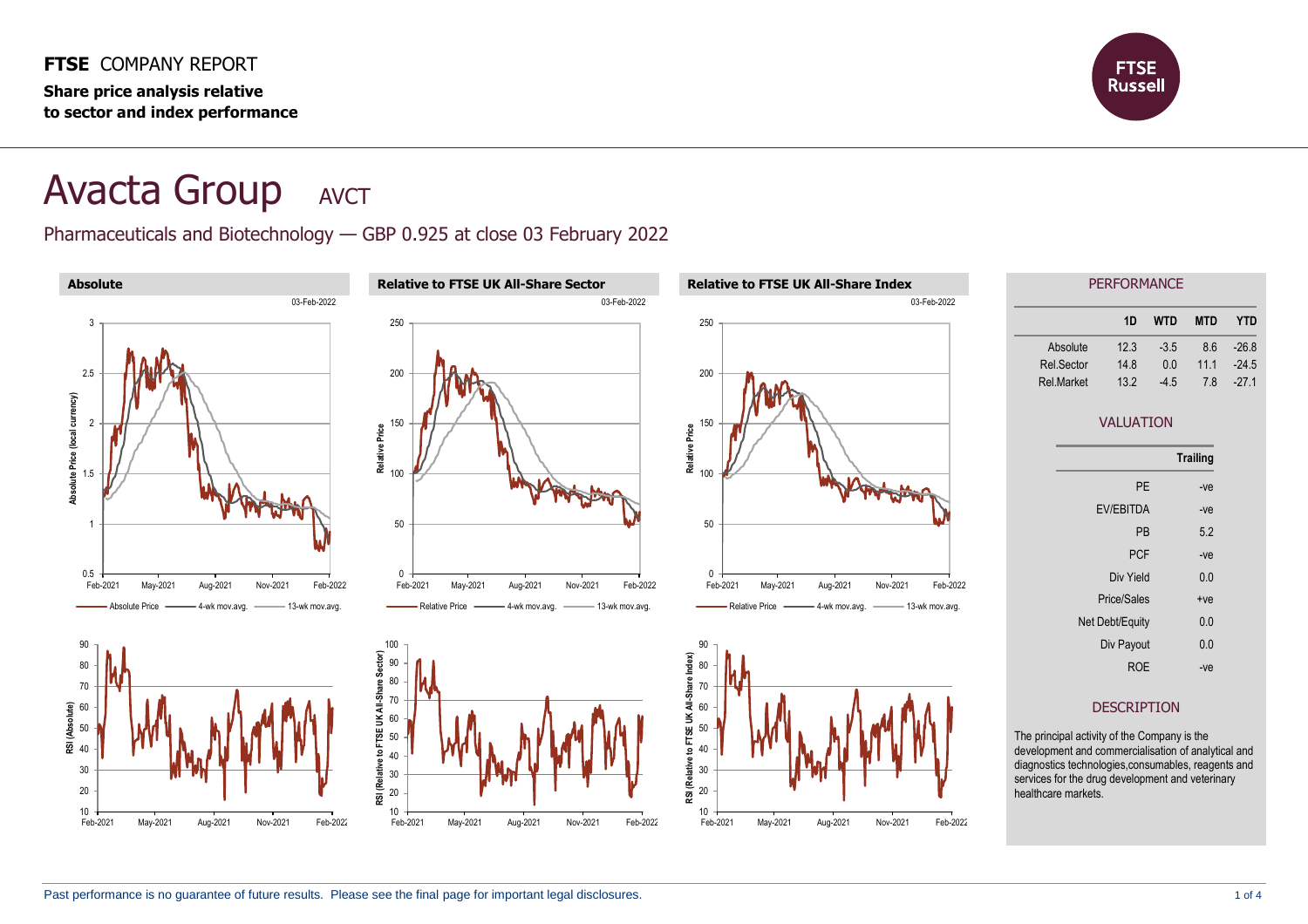**FTSE** COMPANY REPORT **Share price analysis relative to sector and index performance**



## **Avacta Group** AVCT

Pharmaceuticals and Biotechnology — GBP 0.925 at close 03 February 2022

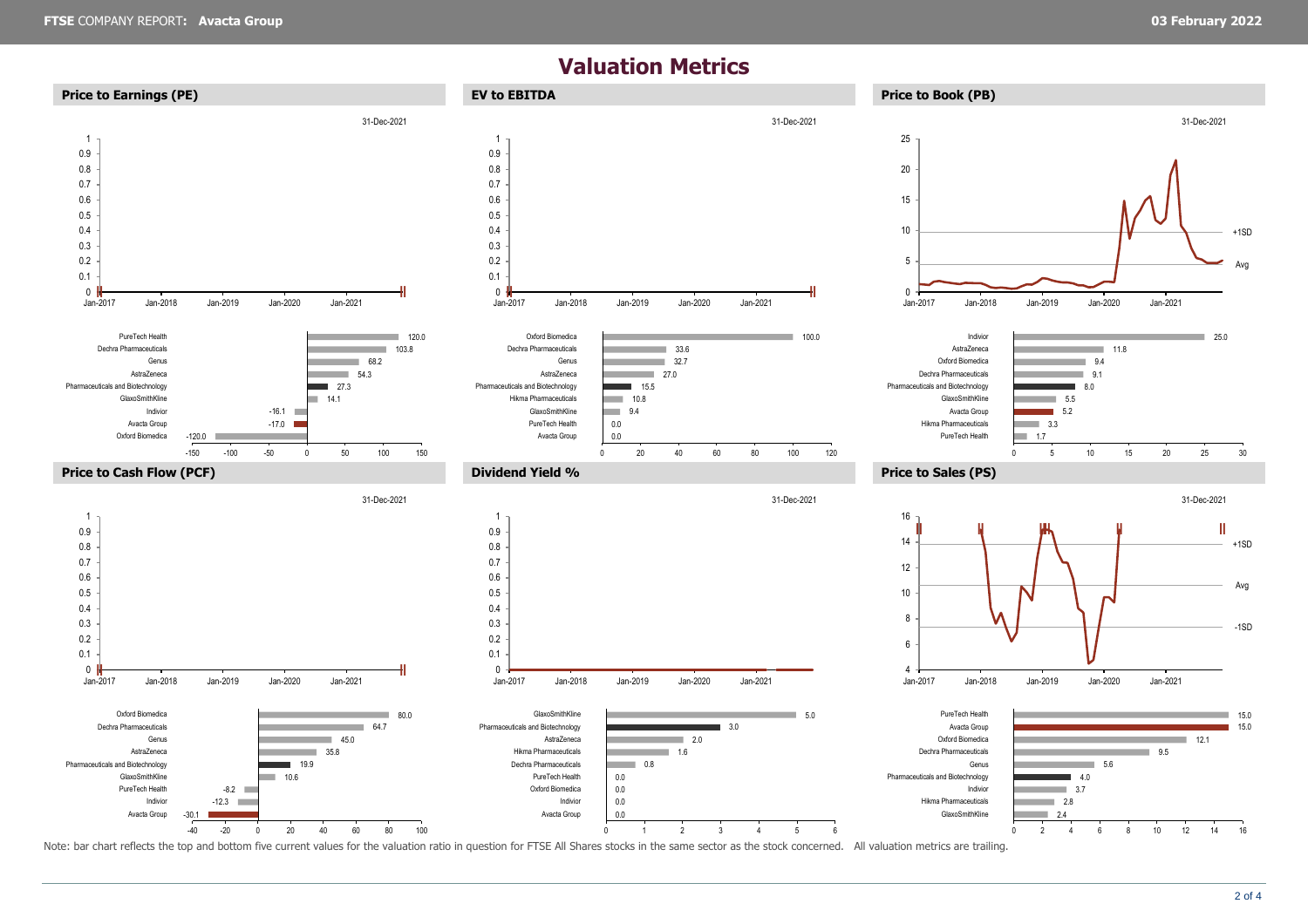## **Valuation Metrics**



Note: bar chart reflects the top and bottom five current values for the valuation ratio in question for FTSE All Shares stocks in the same sector as the stock concerned. All valuation metrics are trailing.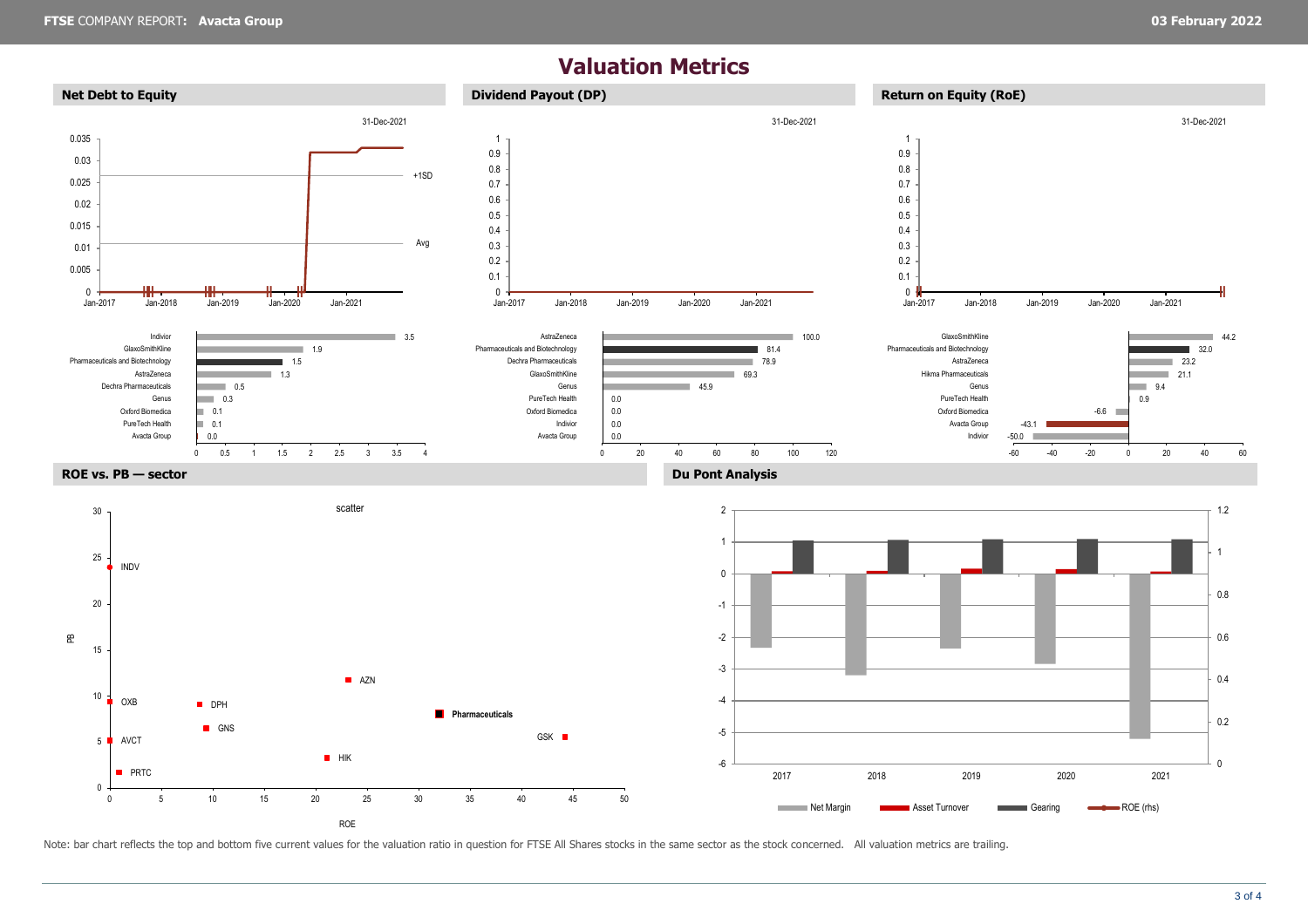## **Valuation Metrics**



Note: bar chart reflects the top and bottom five current values for the valuation ratio in question for FTSE All Shares stocks in the same sector as the stock concerned. All valuation metrics are trailing.